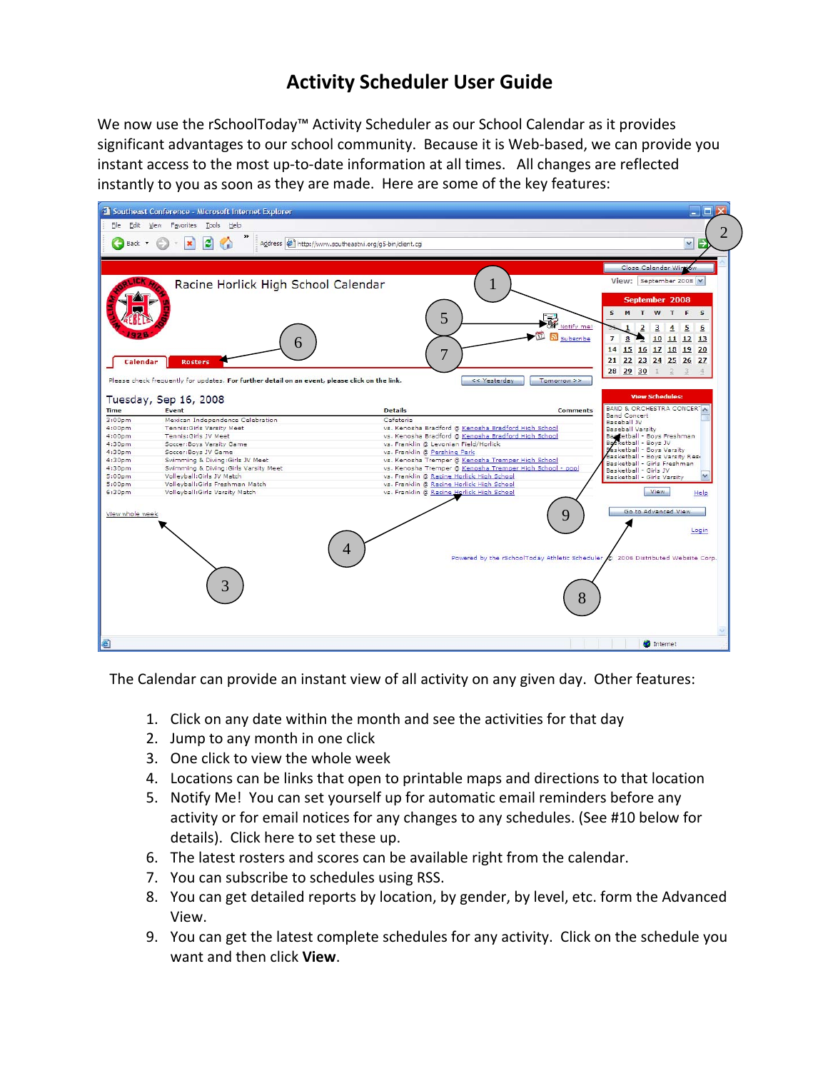# **Activity Scheduler User Guide**

We now use the rSchoolToday™ Activity Scheduler as our School Calendar as it provides significant advantages to our school community. Because it is Web-based, we can provide you instant access to the most up-to-date information at all times. All changes are reflected instantly to you as soon as they are made. Here are some of the key features:



The Calendar can provide an instant view of all activity on any given day. Other features:

- 1. Click on any date within the month and see the activities for that day
- 2. Jump to any month in one click
- 3. One click to view the whole week
- 4. Locations can be links that open to printable maps and directions to that location
- 5. Notify Me! You can set yourself up for automatic email reminders before any activity or for email notices for any changes to any schedules. (See #10 below for details). Click here to set these up.
- 6. The latest rosters and scores can be available right from the calendar.
- 7. You can subscribe to schedules using RSS.
- 8. You can get detailed reports by location, by gender, by level, etc. form the Advanced View.
- 9. You can get the latest complete schedules for any activity. Click on the schedule you want and then click **View**.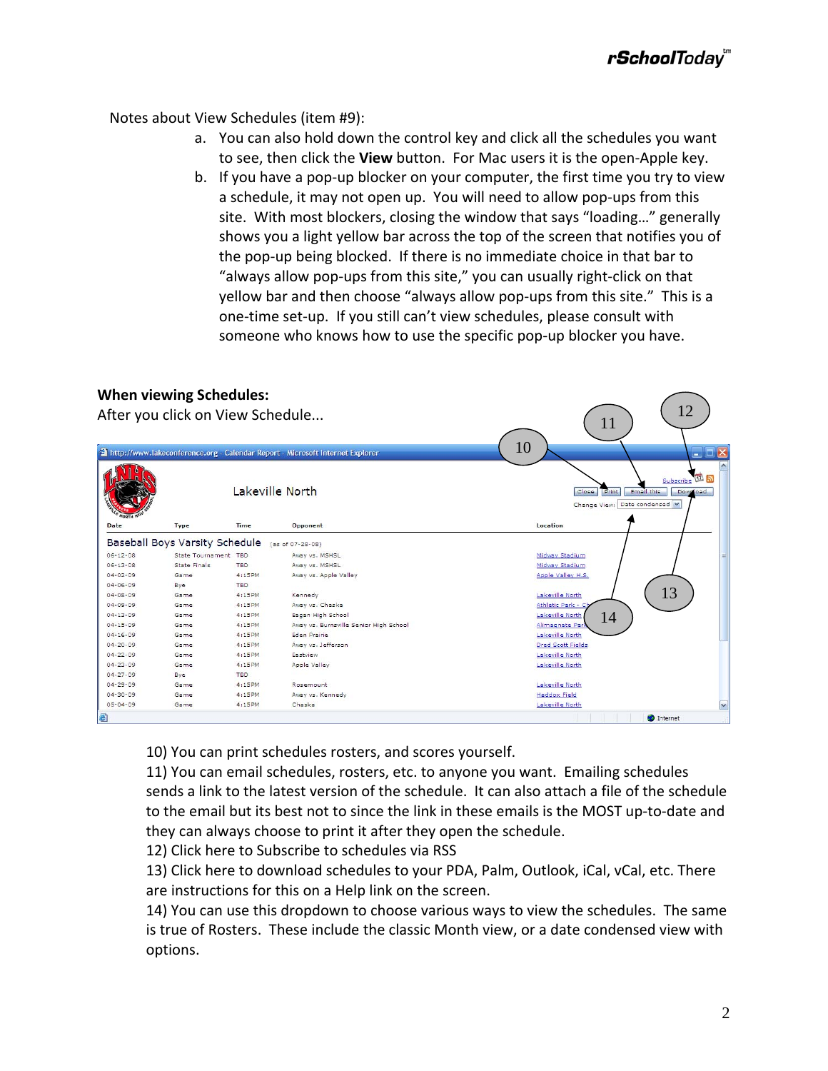Notes about View Schedules (item #9):

- a. You can also hold down the control key and click all the schedules you want to see, then click the **View** button. For Mac users it is the open‐Apple key.
- b. If you have a pop‐up blocker on your computer, the first time you try to view a schedule, it may not open up. You will need to allow pop‐ups from this site. With most blockers, closing the window that says "loading…" generally shows you a light yellow bar across the top of the screen that notifies you of the pop‐up being blocked. If there is no immediate choice in that bar to "always allow pop‐ups from this site," you can usually right‐click on that yellow bar and then choose "always allow pop-ups from this site." This is a one‐time set‐up. If you still can't view schedules, please consult with someone who knows how to use the specific pop-up blocker you have.

#### **When viewing Schedules:**

|                                                                                                                                              |                                |            | <sup>2</sup> http://www.lakeconference.org - Calendar Report - Microsoft Internet Explorer | 10<br>$\Box$ $\Box$ $\times$                                                                      |  |  |
|----------------------------------------------------------------------------------------------------------------------------------------------|--------------------------------|------------|--------------------------------------------------------------------------------------------|---------------------------------------------------------------------------------------------------|--|--|
|                                                                                                                                              |                                |            | Lakeville North                                                                            | $\Pi$ a<br>Subscribe<br>Email this<br>Close<br>Print<br>Download<br>Change View: Date condensed M |  |  |
| Date                                                                                                                                         | <b>Type</b>                    | Time       | Opponent                                                                                   | Location                                                                                          |  |  |
|                                                                                                                                              | Baseball Boys Varsity Schedule |            | (as of 07-28-08)                                                                           |                                                                                                   |  |  |
| $06 - 12 - 08$                                                                                                                               | State Tournament TBD           |            | Away vs. MSHSL                                                                             | Midway Stadium                                                                                    |  |  |
| $06 - 13 - 08$                                                                                                                               | <b>State Finals</b>            | <b>TBD</b> | Away vs. MSHSL                                                                             | Midway Stadium                                                                                    |  |  |
| $04 - 02 - 09$                                                                                                                               | Game                           | 4:15PM     | Away vs. Apple Valley                                                                      | Apple Valley H.S.                                                                                 |  |  |
| $04 - 06 - 09$                                                                                                                               | Bye                            | <b>TBD</b> |                                                                                            |                                                                                                   |  |  |
| $04 - 08 - 09$                                                                                                                               | Game                           | 4:15PM     | Kennedy                                                                                    | 13<br>Lakeville North                                                                             |  |  |
| $04 - 09 - 09$                                                                                                                               | Game                           | 4:15PM     | Away vs. Chaska                                                                            | Athletic Park - C                                                                                 |  |  |
| $04 - 13 - 09$                                                                                                                               | Game                           | 4:15PM     | Eagan High School                                                                          | Lakeville North<br>14                                                                             |  |  |
|                                                                                                                                              | Game                           | 4:15PM     | Away vs. Burnsville Senior High School                                                     | Alimagnate Park                                                                                   |  |  |
|                                                                                                                                              | Game                           | 4:15PM     | Eden Prairie                                                                               | Lakeville North                                                                                   |  |  |
|                                                                                                                                              |                                | 4:15PM     | Away vs. Jefferson                                                                         | Dred Scott Fields                                                                                 |  |  |
|                                                                                                                                              | Game                           |            | Eastview                                                                                   | Lakeville North                                                                                   |  |  |
|                                                                                                                                              | Game                           | 4:15PM     |                                                                                            | Lakeville North                                                                                   |  |  |
|                                                                                                                                              | Game                           | 4:15PM     | Apple Valley                                                                               |                                                                                                   |  |  |
|                                                                                                                                              | Bye                            | TBD.       |                                                                                            |                                                                                                   |  |  |
|                                                                                                                                              | Game                           | 4:15PM     | Rosemount                                                                                  | Lakeville North                                                                                   |  |  |
| $04 - 15 - 09$<br>$04 - 16 - 09$<br>$04 - 20 - 09$<br>$04 - 22 - 09$<br>$04 - 23 - 09$<br>$04 - 27 - 09$<br>$04 - 29 - 09$<br>$04 - 30 - 09$ | Game                           | 4:15PM     | Away vs. Kennedy                                                                           | <b>Haddox Field</b>                                                                               |  |  |

10) You can print schedules rosters, and scores yourself.

11) You can email schedules, rosters, etc. to anyone you want. Emailing schedules sends a link to the latest version of the schedule. It can also attach a file of the schedule to the email but its best not to since the link in these emails is the MOST up‐to‐date and they can always choose to print it after they open the schedule.

12) Click here to Subscribe to schedules via RSS

13) Click here to download schedules to your PDA, Palm, Outlook, iCal, vCal, etc. There are instructions for this on a Help link on the screen.

14) You can use this dropdown to choose various ways to view the schedules. The same is true of Rosters. These include the classic Month view, or a date condensed view with options.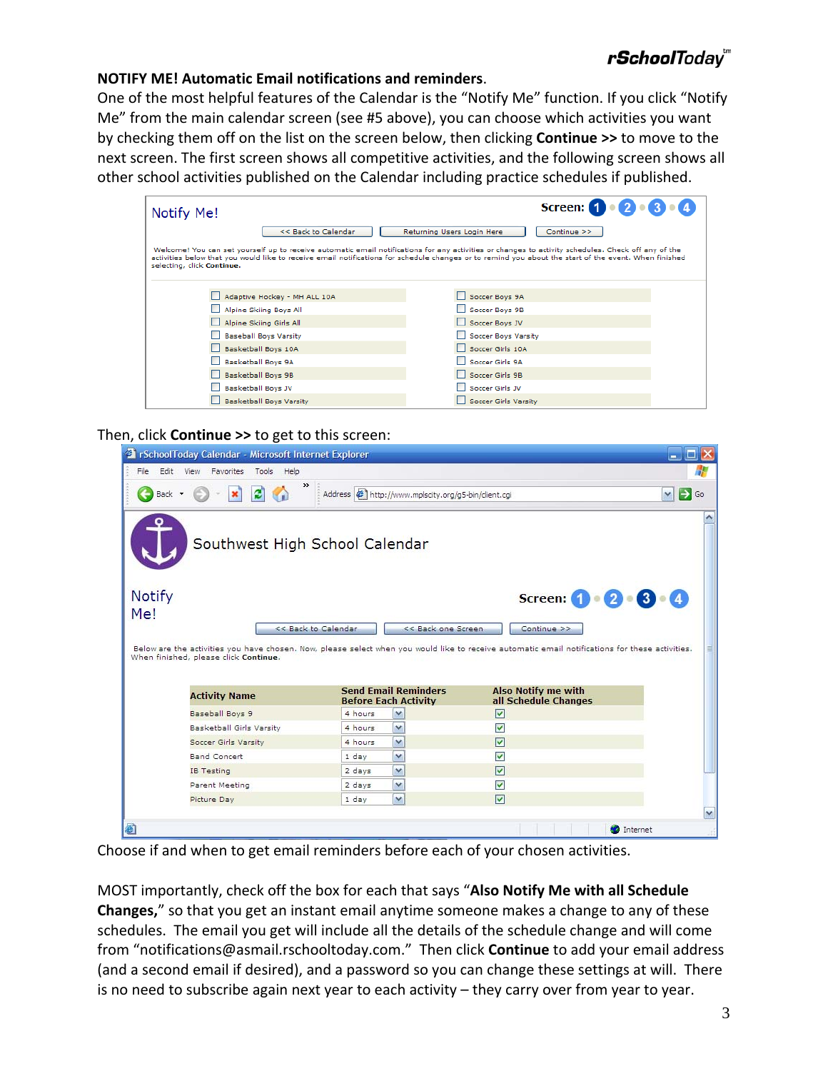# r**School**Today'''

#### **NOTIFY ME! Automatic Email notifications and reminders**.

One of the most helpful features of the Calendar is the "Notify Me" function. If you click "Notify Me" from the main calendar screen (see #5 above), you can choose which activities you want by checking them off on the list on the screen below, then clicking **Continue >>** to move to the next screen. The first screen shows all competitive activities, and the following screen shows all other school activities published on the Calendar including practice schedules if published.

| Notify Me!                     | Screen: $\bigoplus \cdot \bigotimes \cdot \bigoplus \cdot \bigoplus$                                                                                                                                                                                                                                         |
|--------------------------------|--------------------------------------------------------------------------------------------------------------------------------------------------------------------------------------------------------------------------------------------------------------------------------------------------------------|
| << Back to Calendar            | Continue >><br>Returning Users Login Here                                                                                                                                                                                                                                                                    |
| selecting, click Continue.     | Welcome! You can set yourself up to receive automatic email notifications for any activities or changes to activity schedules. Check off any of the<br>activities below that you would like to receive email notifications for schedule changes or to remind you about the start of the event. When finished |
| Adaptive Hockey - MH ALL 10A   | Soccer Boys 9A                                                                                                                                                                                                                                                                                               |
| Alpine Skiing Boys All         | Soccer Boys 9B                                                                                                                                                                                                                                                                                               |
| Alpine Skiing Girls All        | Soccer Boys JV                                                                                                                                                                                                                                                                                               |
| <b>Baseball Boys Varsity</b>   | Soccer Boys Varsity                                                                                                                                                                                                                                                                                          |
| Basketball Boys 10A            | Soccer Girls 10A                                                                                                                                                                                                                                                                                             |
| Basketball Boys 9A             | Soccer Girls 9A                                                                                                                                                                                                                                                                                              |
| Basketball Boys 9B             | Soccer Girls 9B                                                                                                                                                                                                                                                                                              |
| Basketball Boys JV             | Soccer Girls JV                                                                                                                                                                                                                                                                                              |
| <b>Basketball Boys Varsity</b> | <b>Soccer Girls Varsity</b>                                                                                                                                                                                                                                                                                  |

Then, click **Continue >>** to get to this screen:

|                                        | SchoolToday Calendar - Microsoft Internet Explorer                                                                                                                             |                                                                 |                    |
|----------------------------------------|--------------------------------------------------------------------------------------------------------------------------------------------------------------------------------|-----------------------------------------------------------------|--------------------|
| File<br>Edit View Favorites Tools Help |                                                                                                                                                                                |                                                                 |                    |
| e)<br><b>Back</b>                      | Address   http://www.mplscity.org/g5-bin/client.cgi                                                                                                                            |                                                                 | $\checkmark$<br>Go |
|                                        | Southwest High School Calendar                                                                                                                                                 |                                                                 |                    |
| Notify<br>Me!                          | << Back to Calendar<br><< Back one Screen                                                                                                                                      | Screen: $\bigcirc$ $\cdot$ 2 $\cdot$ 3 $\cdot$ 4<br>Continue >> |                    |
|                                        |                                                                                                                                                                                |                                                                 |                    |
| When finished, please click Continue.  | Below are the activities you have chosen. Now, please select when you would like to receive automatic email notifications for these activities.<br><b>Send Email Reminders</b> | <b>Also Notify me with</b>                                      |                    |
| <b>Activity Name</b>                   | <b>Before Each Activity</b>                                                                                                                                                    | all Schedule Changes                                            |                    |
| Baseball Boys 9                        | 4 hours<br>v                                                                                                                                                                   | $\overline{\mathbf{v}}$                                         |                    |
| Basketball Girls Varsity               | v<br>4 hours                                                                                                                                                                   | $\blacktriangledown$                                            |                    |
| Soccer Girls Varsity                   | M<br>4 hours                                                                                                                                                                   | $\overline{\mathbf{v}}$                                         |                    |
| <b>Band Concert</b>                    | v<br>1 day                                                                                                                                                                     | $\overline{\mathsf{v}}$                                         |                    |
| <b>IB Testing</b>                      | v<br>2 days                                                                                                                                                                    | $\overline{\mathbf{v}}$                                         |                    |
| Parent Meeting                         | v<br>2 days                                                                                                                                                                    | $\blacktriangledown$                                            |                    |
| Picture Day                            | v<br>1 day                                                                                                                                                                     | $\overline{\mathbf{v}}$                                         |                    |

Choose if and when to get email reminders before each of your chosen activities.

MOST importantly, check off the box for each that says "**Also Notify Me with all Schedule Changes,**" so that you get an instant email anytime someone makes a change to any of these schedules. The email you get will include all the details of the schedule change and will come from "notifications@asmail.rschooltoday.com." Then click **Continue** to add your email address (and a second email if desired), and a password so you can change these settings at will. There is no need to subscribe again next year to each activity – they carry over from year to year.